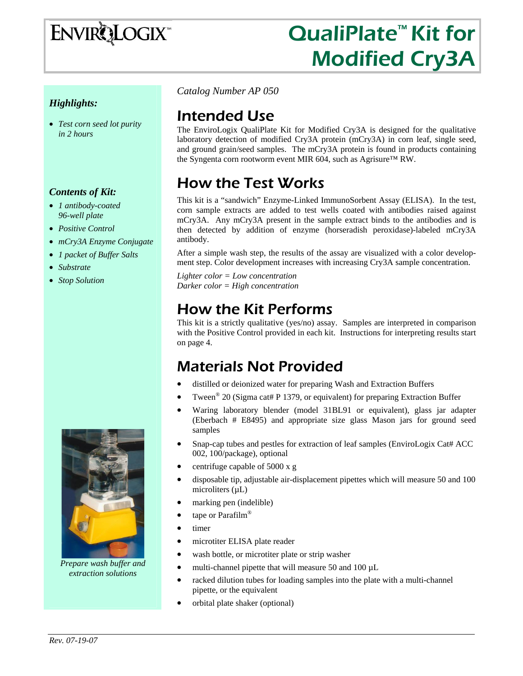# **ENVIRQLOGIX**

## QualiPlate™ Kit for Modified Cry3A

### *Highlights:*

• *Test corn seed lot purity in 2 hours* 

#### *Contents of Kit:*

- *1 antibody-coated 96-well plate*
- *Positive Control*
- *mCry3A Enzyme Conjugate*
- *1 packet of Buffer Salts*
- *Substrate*
- *Stop Solution*



*Prepare wash buffer and extraction solutions* 

*Catalog Number AP 050*

### Intended Use

The EnviroLogix QualiPlate Kit for Modified Cry3A is designed for the qualitative laboratory detection of modified Cry3A protein (mCry3A) in corn leaf, single seed, and ground grain/seed samples. The mCry3A protein is found in products containing the Syngenta corn rootworm event MIR 604, such as Agrisure™ RW.

## How the Test Works

This kit is a "sandwich" Enzyme-Linked ImmunoSorbent Assay (ELISA). In the test, corn sample extracts are added to test wells coated with antibodies raised against mCry3A. Any mCry3A present in the sample extract binds to the antibodies and is then detected by addition of enzyme (horseradish peroxidase)-labeled mCry3A antibody.

After a simple wash step, the results of the assay are visualized with a color development step. Color development increases with increasing Cry3A sample concentration.

*Lighter color = Low concentration Darker color = High concentration* 

### How the Kit Performs

This kit is a strictly qualitative (yes/no) assay. Samples are interpreted in comparison with the Positive Control provided in each kit. Instructions for interpreting results start on page 4.

### Materials Not Provided

- distilled or deionized water for preparing Wash and Extraction Buffers
- Tween<sup>®</sup> 20 (Sigma cat# P 1379, or equivalent) for preparing Extraction Buffer
- Waring laboratory blender (model 31BL91 or equivalent), glass jar adapter (Eberbach # E8495) and appropriate size glass Mason jars for ground seed samples
- Snap-cap tubes and pestles for extraction of leaf samples (EnviroLogix Cat# ACC) 002, 100/package), optional
- centrifuge capable of 5000 x g
- disposable tip, adjustable air-displacement pipettes which will measure 50 and 100 microliters  $(\mu L)$
- marking pen (indelible)
- tape or Parafilm<sup>®</sup>
- timer
- microtiter ELISA plate reader
- wash bottle, or microtiter plate or strip washer
- multi-channel pipette that will measure 50 and 100  $\mu$ L
- racked dilution tubes for loading samples into the plate with a multi-channel pipette, or the equivalent
- orbital plate shaker (optional)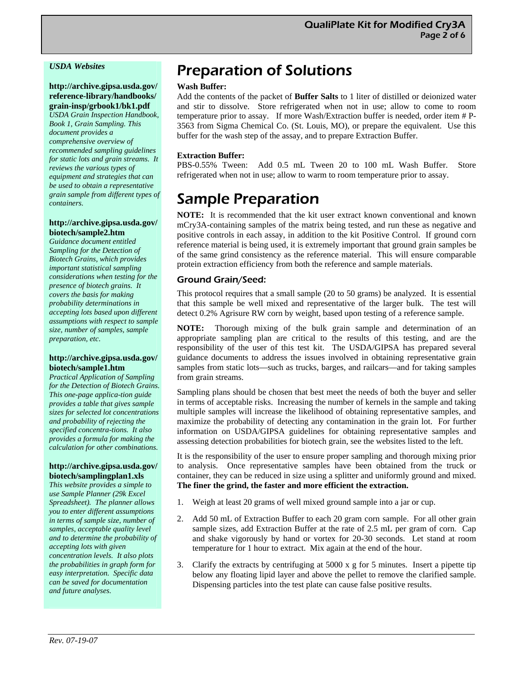#### *USDA Websites*

#### **http://archive.gipsa.usda.gov/ reference-library/handbooks/ grain-insp/grbook1/bk1.pdf**

*USDA Grain Inspection Handbook, Book 1, Grain Sampling. This document provides a comprehensive overview of recommended sampling guidelines for static lots and grain streams. It reviews the various types of equipment and strategies that can be used to obtain a representative grain sample from different types of containers.* 

#### **http://archive.gipsa.usda.gov/ biotech/sample2.htm**

*Guidance document entitled Sampling for the Detection of Biotech Grains, which provides important statistical sampling considerations when testing for the presence of biotech grains. It covers the basis for making probability determinations in accepting lots based upon different assumptions with respect to sample size, number of samples, sample preparation, etc*.

#### **http://archive.gipsa.usda.gov/ biotech/sample1.htm**

*Practical Application of Sampling for the Detection of Biotech Grains. This one-page applica-tion guide provides a table that gives sample sizes for selected lot concentrations and probability of rejecting the specified concentra-tions. It also provides a formula for making the calculation for other combinations.* 

#### **http://archive.gipsa.usda.gov/ biotech/samplingplan1.xls**

*This website provides a simple to use Sample Planner (29k Excel Spreadsheet). The planner allows you to enter different assumptions in terms of sample size, number of samples, acceptable quality level and to determine the probability of accepting lots with given concentration levels. It also plots the probabilities in graph form for easy interpretation. Specific data can be saved for documentation and future analyses.* 

### Preparation of Solutions

#### **Wash Buffer:**

Add the contents of the packet of **Buffer Salts** to 1 liter of distilled or deionized water and stir to dissolve. Store refrigerated when not in use; allow to come to room temperature prior to assay. If more Wash/Extraction buffer is needed, order item # P-3563 from Sigma Chemical Co. (St. Louis, MO), or prepare the equivalent. Use this buffer for the wash step of the assay, and to prepare Extraction Buffer.

#### **Extraction Buffer:**

PBS-0.55% Tween: Add 0.5 mL Tween 20 to 100 mL Wash Buffer. Store refrigerated when not in use; allow to warm to room temperature prior to assay.

### Sample Preparation

**NOTE:** It is recommended that the kit user extract known conventional and known mCry3A-containing samples of the matrix being tested, and run these as negative and positive controls in each assay, in addition to the kit Positive Control. If ground corn reference material is being used, it is extremely important that ground grain samples be of the same grind consistency as the reference material. This will ensure comparable protein extraction efficiency from both the reference and sample materials.

#### Ground Grain/Seed:

This protocol requires that a small sample (20 to 50 grams) be analyzed. It is essential that this sample be well mixed and representative of the larger bulk. The test will detect 0.2% Agrisure RW corn by weight, based upon testing of a reference sample.

**NOTE:** Thorough mixing of the bulk grain sample and determination of an appropriate sampling plan are critical to the results of this testing, and are the responsibility of the user of this test kit. The USDA/GIPSA has prepared several guidance documents to address the issues involved in obtaining representative grain samples from static lots—such as trucks, barges, and railcars—and for taking samples from grain streams.

Sampling plans should be chosen that best meet the needs of both the buyer and seller in terms of acceptable risks. Increasing the number of kernels in the sample and taking multiple samples will increase the likelihood of obtaining representative samples, and maximize the probability of detecting any contamination in the grain lot. For further information on USDA/GIPSA guidelines for obtaining representative samples and assessing detection probabilities for biotech grain, see the websites listed to the left.

It is the responsibility of the user to ensure proper sampling and thorough mixing prior to analysis. Once representative samples have been obtained from the truck or container, they can be reduced in size using a splitter and uniformly ground and mixed. **The finer the grind, the faster and more efficient the extraction.** 

- 1. Weigh at least 20 grams of well mixed ground sample into a jar or cup.
- 2. Add 50 mL of Extraction Buffer to each 20 gram corn sample. For all other grain sample sizes, add Extraction Buffer at the rate of 2.5 mL per gram of corn. Cap and shake vigorously by hand or vortex for 20-30 seconds. Let stand at room temperature for 1 hour to extract. Mix again at the end of the hour.
- 3. Clarify the extracts by centrifuging at 5000 x g for 5 minutes. Insert a pipette tip below any floating lipid layer and above the pellet to remove the clarified sample. Dispensing particles into the test plate can cause false positive results.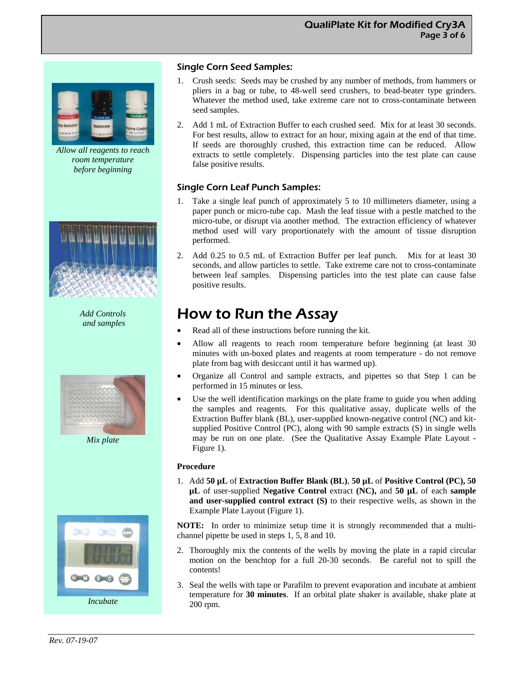*Allow all reagents to reach room temperature before beginning* 



*Add Controls and samples* 



*Mix plate* 



#### Single Corn Seed Samples:

- 1. Crush seeds: Seeds may be crushed by any number of methods, from hammers or pliers in a bag or tube, to 48-well seed crushers, to bead-beater type grinders. Whatever the method used, take extreme care not to cross-contaminate between seed samples.
- 2. Add 1 mL of Extraction Buffer to each crushed seed. Mix for at least 30 seconds. For best results, allow to extract for an hour, mixing again at the end of that time. If seeds are thoroughly crushed, this extraction time can be reduced. Allow extracts to settle completely. Dispensing particles into the test plate can cause false positive results.

#### Single Corn Leaf Punch Samples:

- 1. Take a single leaf punch of approximately 5 to 10 millimeters diameter, using a paper punch or micro-tube cap. Mash the leaf tissue with a pestle matched to the micro-tube, or disrupt via another method. The extraction efficiency of whatever method used will vary proportionately with the amount of tissue disruption performed.
- 2. Add 0.25 to 0.5 mL of Extraction Buffer per leaf punch. Mix for at least 30 seconds, and allow particles to settle. Take extreme care not to cross-contaminate between leaf samples. Dispensing particles into the test plate can cause false positive results.

### How to Run the Assay

- Read all of these instructions before running the kit.
- Allow all reagents to reach room temperature before beginning (at least 30 minutes with un-boxed plates and reagents at room temperature - do not remove plate from bag with desiccant until it has warmed up).
- Organize all Control and sample extracts, and pipettes so that Step 1 can be performed in 15 minutes or less.
- Use the well identification markings on the plate frame to guide you when adding the samples and reagents. For this qualitative assay, duplicate wells of the Extraction Buffer blank (BL), user-supplied known-negative control (NC) and kitsupplied Positive Control (PC), along with 90 sample extracts (S) in single wells may be run on one plate. (See the Qualitative Assay Example Plate Layout - Figure 1).

#### **Procedure**

1. Add **50 µL** of **Extraction Buffer Blank (BL)**, **50 µL** of **Positive Control (PC), 50 µL** of user-supplied **Negative Control** extract **(NC),** and **50 µL** of each **sample and user-supplied control extract (S)** to their respective wells, as shown in the Example Plate Layout (Figure 1).

**NOTE:** In order to minimize setup time it is strongly recommended that a multichannel pipette be used in steps 1, 5, 8 and 10.

- 2. Thoroughly mix the contents of the wells by moving the plate in a rapid circular motion on the benchtop for a full 20-30 seconds. Be careful not to spill the contents!
- 3. Seal the wells with tape or Parafilm to prevent evaporation and incubate at ambient temperature for **30 minutes**. If an orbital plate shaker is available, shake plate at 200 rpm.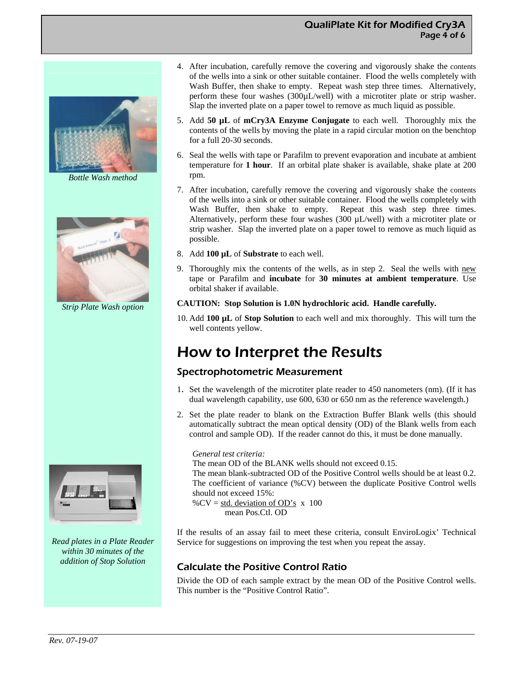#### QualiPlate Kit for Modified Cry3A Page 4 of 6



*Bottle Wash method* 



*Strip Plate Wash option* 



*Read plates in a Plate Reader within 30 minutes of the addition of Stop Solution* 

- 4. After incubation, carefully remove the covering and vigorously shake the contents of the wells into a sink or other suitable container. Flood the wells completely with Wash Buffer, then shake to empty. Repeat wash step three times. Alternatively, perform these four washes (300µL/well) with a microtiter plate or strip washer. Slap the inverted plate on a paper towel to remove as much liquid as possible.
- 5. Add **50 µL** of **mCry3A Enzyme Conjugate** to each well. Thoroughly mix the contents of the wells by moving the plate in a rapid circular motion on the benchtop for a full 20-30 seconds.
- 6. Seal the wells with tape or Parafilm to prevent evaporation and incubate at ambient temperature for **1 hour**. If an orbital plate shaker is available, shake plate at 200 rpm.
- 7. After incubation, carefully remove the covering and vigorously shake the contents of the wells into a sink or other suitable container. Flood the wells completely with Wash Buffer, then shake to empty. Repeat this wash step three times. Alternatively, perform these four washes  $(300 \mu L/well)$  with a microtiter plate or strip washer. Slap the inverted plate on a paper towel to remove as much liquid as possible.
- 8. Add **100 µL** of **Substrate** to each well.
- 9. Thoroughly mix the contents of the wells, as in step 2. Seal the wells with  $n$ ew tape or Parafilm and **incubate** for **30 minutes at ambient temperature**. Use orbital shaker if available.

#### **CAUTION: Stop Solution is 1.0N hydrochloric acid. Handle carefully.**

10. Add **100 µL** of **Stop Solution** to each well and mix thoroughly. This will turn the well contents yellow.

### How to Interpret the Results

#### Spectrophotometric Measurement

- 1. Set the wavelength of the microtiter plate reader to 450 nanometers (nm). (If it has dual wavelength capability, use 600, 630 or 650 nm as the reference wavelength.)
- 2. Set the plate reader to blank on the Extraction Buffer Blank wells (this should automatically subtract the mean optical density (OD) of the Blank wells from each control and sample OD). If the reader cannot do this, it must be done manually.

#### *General test criteria:*

The mean OD of the BLANK wells should not exceed 0.15. The mean blank-subtracted OD of the Positive Control wells should be at least 0.2. The coefficient of variance (%CV) between the duplicate Positive Control wells should not exceed 15%: % $CV = std. deviation of OD's x 100$ 

mean Pos.Ctl. OD

If the results of an assay fail to meet these criteria, consult EnviroLogix' Technical Service for suggestions on improving the test when you repeat the assay.

#### Calculate the Positive Control Ratio

Divide the OD of each sample extract by the mean OD of the Positive Control wells. This number is the "Positive Control Ratio".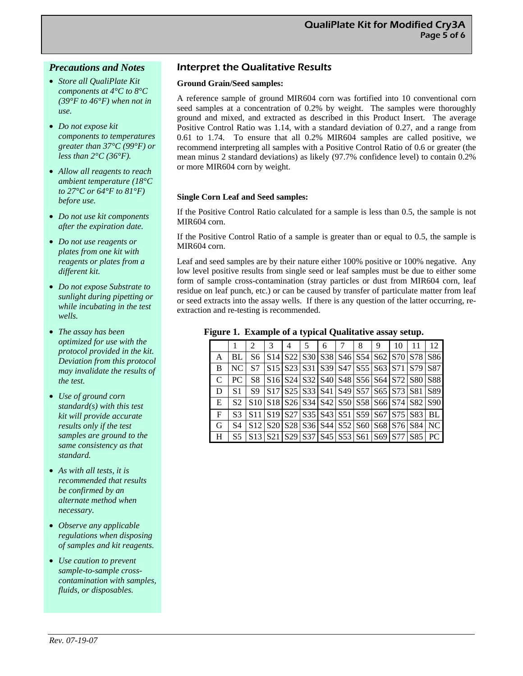#### *Precautions and Notes*

- *Store all QualiPlate Kit components at 4°C to 8°C (39°F to 46°F) when not in*   $\overline{u}$ *se*.
- *Do not expose kit components to temperatures greater than 37°C (99°F) or less than 2°C (36°F).*
- *Allow all reagents to reach ambient temperature (18°C to 27°C or 64°F to 81°F) before use.*
- *Do not use kit components after the expiration date.*
- *Do not use reagents or plates from one kit with reagents or plates from a different kit.*
- *Do not expose Substrate to sunlight during pipetting or while incubating in the test wells.*
- *The assay has been optimized for use with the protocol provided in the kit. Deviation from this protocol may invalidate the results of the test.*
- *Use of ground corn standard(s) with this test kit will provide accurate results only if the test samples are ground to the same consistency as that standard.*
- *As with all tests, it is recommended that results be confirmed by an alternate method when necessary.*
- *Observe any applicable regulations when disposing of samples and kit reagents.*
- *Use caution to prevent sample-to-sample crosscontamination with samples, fluids, or disposables.*

#### Interpret the Qualitative Results

#### **Ground Grain/Seed samples:**

A reference sample of ground MIR604 corn was fortified into 10 conventional corn seed samples at a concentration of 0.2% by weight. The samples were thoroughly ground and mixed, and extracted as described in this Product Insert. The average Positive Control Ratio was 1.14, with a standard deviation of 0.27, and a range from 0.61 to 1.74. To ensure that all 0.2% MIR604 samples are called positive, we recommend interpreting all samples with a Positive Control Ratio of 0.6 or greater (the mean minus 2 standard deviations) as likely (97.7% confidence level) to contain 0.2% or more MIR604 corn by weight.

#### **Single Corn Leaf and Seed samples:**

If the Positive Control Ratio calculated for a sample is less than 0.5, the sample is not MIR604 corn.

If the Positive Control Ratio of a sample is greater than or equal to 0.5, the sample is MIR604 corn.

Leaf and seed samples are by their nature either 100% positive or 100% negative. Any low level positive results from single seed or leaf samples must be due to either some form of sample cross-contamination (stray particles or dust from MIR604 corn, leaf residue on leaf punch, etc.) or can be caused by transfer of particulate matter from leaf or seed extracts into the assay wells. If there is any question of the latter occurring, reextraction and re-testing is recommended.

#### **Figure 1. Example of a typical Qualitative assay setup.**

|  |   |                |                                               | 3 | 4 | 5 | 6 | 8 | 9 | 10 | -11                                                                                                                                                                             | 12 |
|--|---|----------------|-----------------------------------------------|---|---|---|---|---|---|----|---------------------------------------------------------------------------------------------------------------------------------------------------------------------------------|----|
|  | A | BL             | S6                                            |   |   |   |   |   |   |    | $ S14 S22 S30 S38 S46 S54 S62 S70 S78 S86$                                                                                                                                      |    |
|  | B | NC l           | S7                                            |   |   |   |   |   |   |    | $ S15 S23 S31 S39 S47 S55 S63 S71 S79 S87$                                                                                                                                      |    |
|  | C | PC.            | S8                                            |   |   |   |   |   |   |    | $ S16 S24 S32 S40 S48 S56 S64 S72 S80 S88$                                                                                                                                      |    |
|  | D | S <sub>1</sub> | <b>S9</b>                                     |   |   |   |   |   |   |    | $ S17 S25 S33 S41 S49 S57 S65 S73 S81 S89$                                                                                                                                      |    |
|  | E | S2             |                                               |   |   |   |   |   |   |    | S <sub>10</sub> S <sub>18</sub> S <sub>26</sub> S <sub>34</sub> S <sub>42</sub> S <sub>50</sub> S <sub>58</sub> S <sub>66</sub> S <sub>74</sub> S <sub>82</sub> S <sub>90</sub> |    |
|  | F | S3             |                                               |   |   |   |   |   |   |    | S11   S19   S27   S35   S43   S51   S59   S67   S75   S83   BL                                                                                                                  |    |
|  | G | S4             |                                               |   |   |   |   |   |   |    | S12   S20   S28   S36   S44   S52   S60   S68   S76   S84   NC                                                                                                                  |    |
|  | H | S <sub>5</sub> | $ S13 S21 S29 S37 S45 S53 S61 S69 S77 S85 PC$ |   |   |   |   |   |   |    |                                                                                                                                                                                 |    |